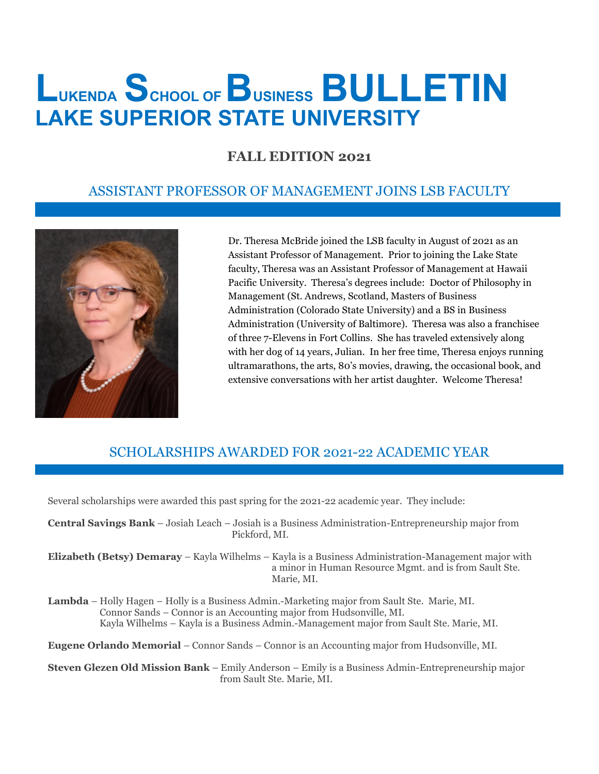# **LUKENDA SCHOOL OF BUSINESS BULLETIN LAKE SUPERIOR STATE UNIVERSITY**

### **FALL EDITION 2021**

#### ASSISTANT PROFESSOR OF MANAGEMENT JOINS LSB FACULTY



Dr. Theresa McBride joined the LSB faculty in August of 2021 as an Assistant Professor of Management. Prior to joining the Lake State faculty, Theresa was an Assistant Professor of Management at Hawaii Pacific University. Theresa's degrees include: Doctor of Philosophy in Management (St. Andrews, Scotland, Masters of Business Administration (Colorado State University) and a BS in Business Administration (University of Baltimore). Theresa was also a franchisee of three 7-Elevens in Fort Collins. She has traveled extensively along with her dog of 14 years, Julian. In her free time, Theresa enjoys running ultramarathons, the arts, 80's movies, drawing, the occasional book, and extensive conversations with her artist daughter. Welcome Theresa!

## SCHOLARSHIPS AWARDED FOR 2021-22 ACADEMIC YEAR

Several scholarships were awarded this past spring for the 2021-22 academic year. They include:

**Central Savings Bank** – Josiah Leach – Josiah is a Business Administration-Entrepreneurship major from Pickford, MI.

**Elizabeth (Betsy) Demaray** – Kayla Wilhelms – Kayla is a Business Administration-Management major with a minor in Human Resource Mgmt. and is from Sault Ste. Marie, MI.

**Lambda** – Holly Hagen – Holly is a Business Admin.-Marketing major from Sault Ste. Marie, MI. Connor Sands – Connor is an Accounting major from Hudsonville, MI. Kayla Wilhelms – Kayla is a Business Admin.-Management major from Sault Ste. Marie, MI.

**Eugene Orlando Memorial** – Connor Sands – Connor is an Accounting major from Hudsonville, MI.

**Steven Glezen Old Mission Bank** – Emily Anderson – Emily is a Business Admin-Entrepreneurship major from Sault Ste. Marie, MI.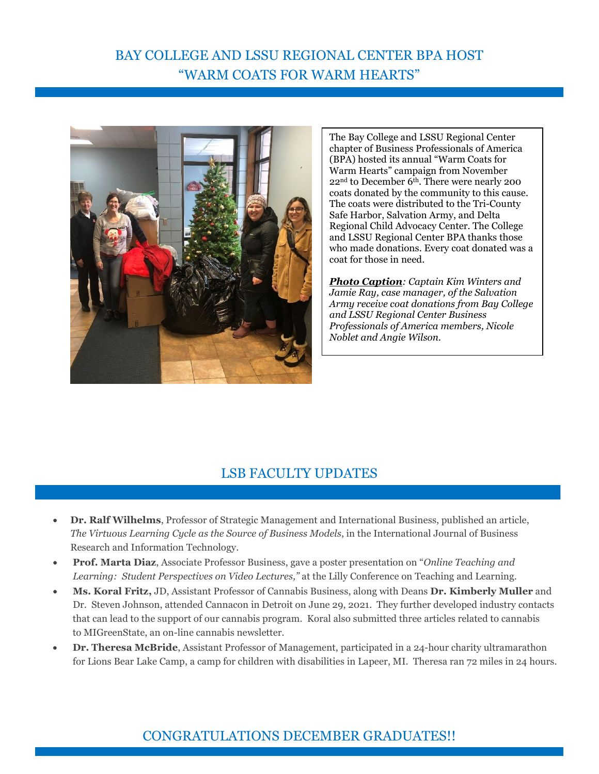# BAY COLLEGE AND LSSU REGIONAL CENTER BPA HOST "WARM COATS FOR WARM HEARTS"



The Bay College and LSSU Regional Center chapter of Business Professionals of America (BPA) hosted its annual "Warm Coats for Warm Hearts" campaign from November 22nd to December 6th. There were nearly 200 coats donated by the community to this cause. The coats were distributed to the Tri-County Safe Harbor, Salvation Army, and Delta Regional Child Advocacy Center. The College and LSSU Regional Center BPA thanks those who made donations. Every coat donated was a coat for those in need.

*Photo Caption: Captain Kim Winters and Jamie Ray, case manager, of the Salvation Army receive coat donations from Bay College and LSSU Regional Center Business Professionals of America members, Nicole Noblet and Angie Wilson.*

#### LSB FACULTY UPDATES

- **Dr. Ralf Wilhelms**, Professor of Strategic Management and International Business, published an article, *The Virtuous Learning Cycle as the Source of Business Models*, in the International Journal of Business Research and Information Technology.
- **Prof. Marta Diaz**, Associate Professor Business, gave a poster presentation on "*Online Teaching and Learning: Student Perspectives on Video Lectures,"* at the Lilly Conference on Teaching and Learning.
- **Ms. Koral Fritz,** JD, Assistant Professor of Cannabis Business, along with Deans **Dr. Kimberly Muller** and Dr. Steven Johnson, attended Cannacon in Detroit on June 29, 2021. They further developed industry contacts that can lead to the support of our cannabis program. Koral also submitted three articles related to cannabis to MIGreenState, an on-line cannabis newsletter.
- **Dr. Theresa McBride**, Assistant Professor of Management, participated in a 24-hour charity ultramarathon for Lions Bear Lake Camp, a camp for children with disabilities in Lapeer, MI. Theresa ran 72 miles in 24 hours.